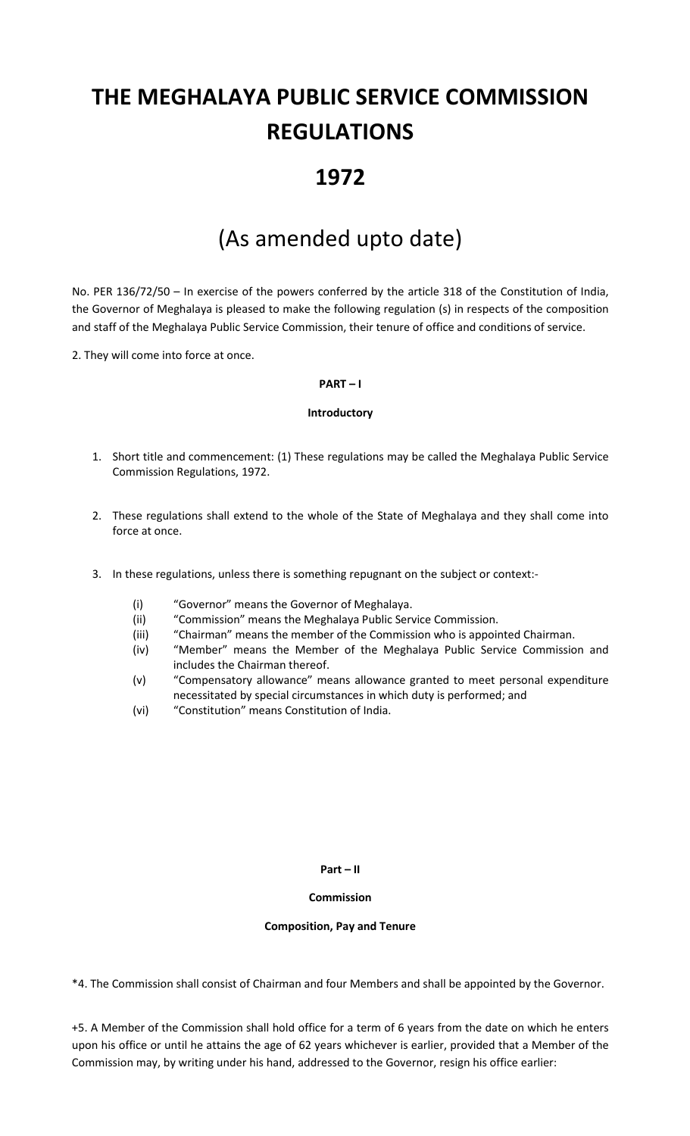# **THE MEGHALAYA PUBLIC SERVICE COMMISSION REGULATIONS**

# **1972**

# (As amended upto date)

No. PER 136/72/50 – In exercise of the powers conferred by the article 318 of the Constitution of India, the Governor of Meghalaya is pleased to make the following regulation (s) in respects of the composition and staff of the Meghalaya Public Service Commission, their tenure of office and conditions of service.

2. They will come into force at once.

## **PART – I**

#### **Introductory**

- 1. Short title and commencement: (1) These regulations may be called the Meghalaya Public Service Commission Regulations, 1972.
- 2. These regulations shall extend to the whole of the State of Meghalaya and they shall come into force at once.
- 3. In these regulations, unless there is something repugnant on the subject or context:-
	- (i) "Governor" means the Governor of Meghalaya.
	- (ii) "Commission" means the Meghalaya Public Service Commission.
	- (iii) "Chairman" means the member of the Commission who is appointed Chairman.
	- (iv) "Member" means the Member of the Meghalaya Public Service Commission and includes the Chairman thereof.
	- (v) "Compensatory allowance" means allowance granted to meet personal expenditure necessitated by special circumstances in which duty is performed; and
	- (vi) "Constitution" means Constitution of India.

#### **Part – II**

#### **Commission**

#### **Composition, Pay and Tenure**

\*4. The Commission shall consist of Chairman and four Members and shall be appointed by the Governor.

+5. A Member of the Commission shall hold office for a term of 6 years from the date on which he enters upon his office or until he attains the age of 62 years whichever is earlier, provided that a Member of the Commission may, by writing under his hand, addressed to the Governor, resign his office earlier: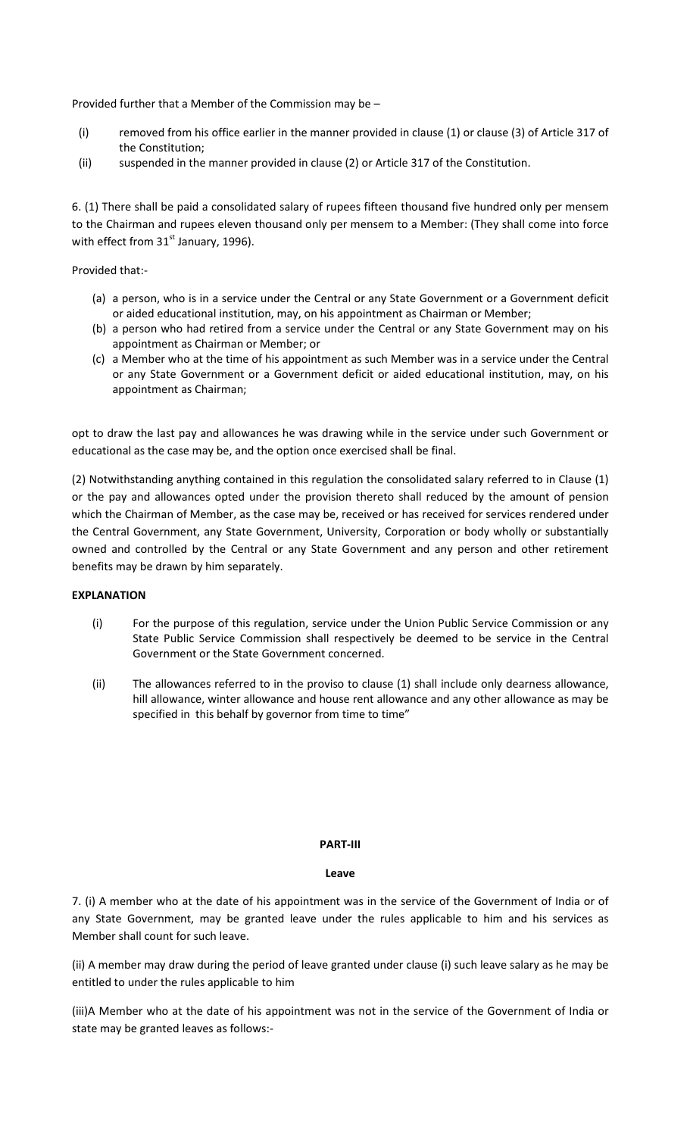Provided further that a Member of the Commission may be –

- (i) removed from his office earlier in the manner provided in clause (1) or clause (3) of Article 317 of the Constitution;
- (ii) suspended in the manner provided in clause (2) or Article 317 of the Constitution.

6. (1) There shall be paid a consolidated salary of rupees fifteen thousand five hundred only per mensem to the Chairman and rupees eleven thousand only per mensem to a Member: (They shall come into force with effect from  $31<sup>st</sup>$  January, 1996).

Provided that:-

- (a) a person, who is in a service under the Central or any State Government or a Government deficit or aided educational institution, may, on his appointment as Chairman or Member;
- (b) a person who had retired from a service under the Central or any State Government may on his appointment as Chairman or Member; or
- (c) a Member who at the time of his appointment as such Member was in a service under the Central or any State Government or a Government deficit or aided educational institution, may, on his appointment as Chairman;

opt to draw the last pay and allowances he was drawing while in the service under such Government or educational as the case may be, and the option once exercised shall be final.

(2) Notwithstanding anything contained in this regulation the consolidated salary referred to in Clause (1) or the pay and allowances opted under the provision thereto shall reduced by the amount of pension which the Chairman of Member, as the case may be, received or has received for services rendered under the Central Government, any State Government, University, Corporation or body wholly or substantially owned and controlled by the Central or any State Government and any person and other retirement benefits may be drawn by him separately.

### **EXPLANATION**

- (i) For the purpose of this regulation, service under the Union Public Service Commission or any State Public Service Commission shall respectively be deemed to be service in the Central Government or the State Government concerned.
- (ii) The allowances referred to in the proviso to clause (1) shall include only dearness allowance, hill allowance, winter allowance and house rent allowance and any other allowance as may be specified in this behalf by governor from time to time"

#### **PART-III**

#### **Leave**

7. (i) A member who at the date of his appointment was in the service of the Government of India or of any State Government, may be granted leave under the rules applicable to him and his services as Member shall count for such leave.

(ii) A member may draw during the period of leave granted under clause (i) such leave salary as he may be entitled to under the rules applicable to him

(iii)A Member who at the date of his appointment was not in the service of the Government of India or state may be granted leaves as follows:-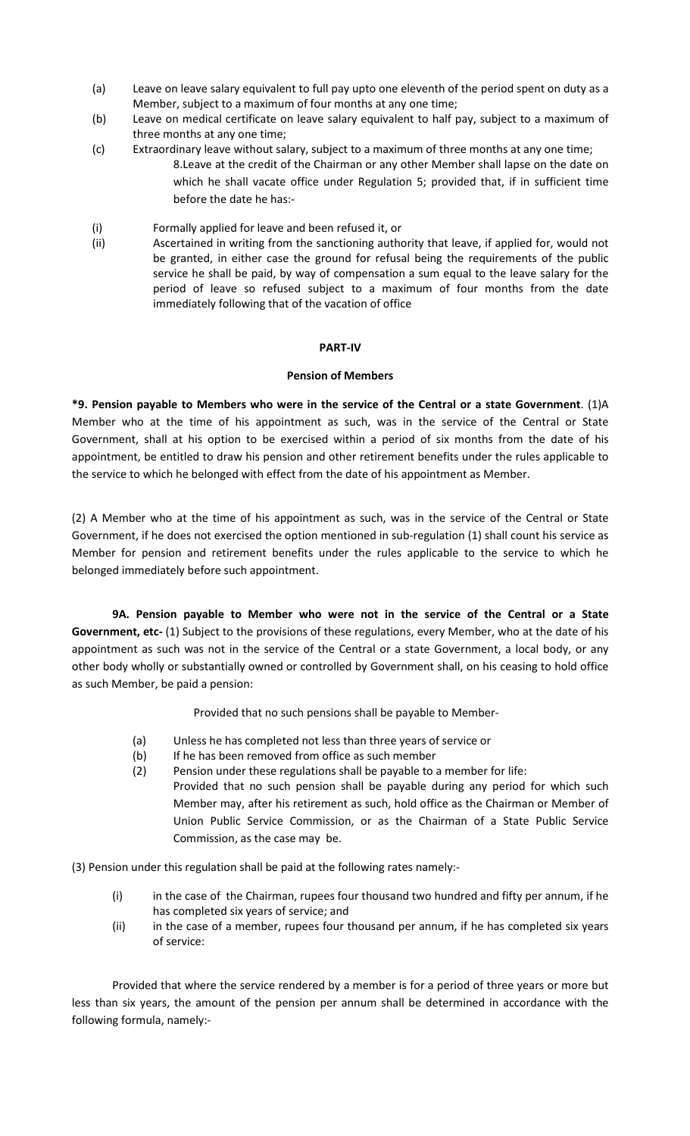- (a) Leave on leave salary equivalent to full pay upto one eleventh of the period spent on duty as a Member, subject to a maximum of four months at any one time;
- (b) Leave on medical certificate on leave salary equivalent to half pay, subject to a maximum of three months at any one time;
- (c) Extraordinary leave without salary, subject to a maximum of three months at any one time; 8.Leave at the credit of the Chairman or any other Member shall lapse on the date on which he shall vacate office under Regulation 5; provided that, if in sufficient time before the date he has:-
- (i) Formally applied for leave and been refused it, or
- (ii) Ascertained in writing from the sanctioning authority that leave, if applied for, would not be granted, in either case the ground for refusal being the requirements of the public service he shall be paid, by way of compensation a sum equal to the leave salary for the period of leave so refused subject to a maximum of four months from the date immediately following that of the vacation of office

## **PART-IV**

### **Pension of Members**

**\*9. Pension payable to Members who were in the service of the Central or a state Government**. (1)A Member who at the time of his appointment as such, was in the service of the Central or State Government, shall at his option to be exercised within a period of six months from the date of his appointment, be entitled to draw his pension and other retirement benefits under the rules applicable to the service to which he belonged with effect from the date of his appointment as Member.

(2) A Member who at the time of his appointment as such, was in the service of the Central or State Government, if he does not exercised the option mentioned in sub-regulation (1) shall count his service as Member for pension and retirement benefits under the rules applicable to the service to which he belonged immediately before such appointment.

**9A. Pension payable to Member who were not in the service of the Central or a State Government, etc-** (1) Subject to the provisions of these regulations, every Member, who at the date of his appointment as such was not in the service of the Central or a state Government, a local body, or any other body wholly or substantially owned or controlled by Government shall, on his ceasing to hold office as such Member, be paid a pension:

Provided that no such pensions shall be payable to Member-

- (a) Unless he has completed not less than three years of service or
- (b) If he has been removed from office as such member
- (2) Pension under these regulations shall be payable to a member for life:
- Provided that no such pension shall be payable during any period for which such Member may, after his retirement as such, hold office as the Chairman or Member of Union Public Service Commission, or as the Chairman of a State Public Service Commission, as the case may be.

(3) Pension under this regulation shall be paid at the following rates namely:-

- (i) in the case of the Chairman, rupees four thousand two hundred and fifty per annum, if he has completed six years of service; and
- (ii) in the case of a member, rupees four thousand per annum, if he has completed six years of service:

 Provided that where the service rendered by a member is for a period of three years or more but less than six years, the amount of the pension per annum shall be determined in accordance with the following formula, namely:-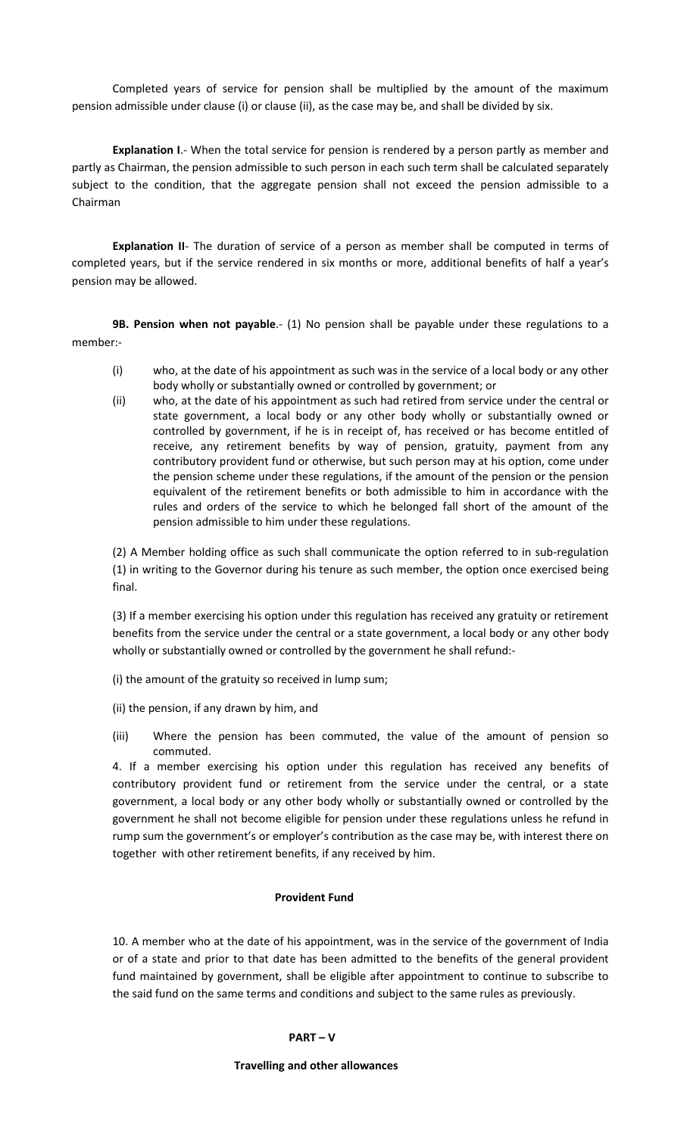Completed years of service for pension shall be multiplied by the amount of the maximum pension admissible under clause (i) or clause (ii), as the case may be, and shall be divided by six.

 **Explanation I**.- When the total service for pension is rendered by a person partly as member and partly as Chairman, the pension admissible to such person in each such term shall be calculated separately subject to the condition, that the aggregate pension shall not exceed the pension admissible to a Chairman

 **Explanation II**- The duration of service of a person as member shall be computed in terms of completed years, but if the service rendered in six months or more, additional benefits of half a year's pension may be allowed.

 **9B. Pension when not payable**.- (1) No pension shall be payable under these regulations to a member:-

- (i) who, at the date of his appointment as such was in the service of a local body or any other body wholly or substantially owned or controlled by government; or
- (ii) who, at the date of his appointment as such had retired from service under the central or state government, a local body or any other body wholly or substantially owned or controlled by government, if he is in receipt of, has received or has become entitled of receive, any retirement benefits by way of pension, gratuity, payment from any contributory provident fund or otherwise, but such person may at his option, come under the pension scheme under these regulations, if the amount of the pension or the pension equivalent of the retirement benefits or both admissible to him in accordance with the rules and orders of the service to which he belonged fall short of the amount of the pension admissible to him under these regulations.

(2) A Member holding office as such shall communicate the option referred to in sub-regulation (1) in writing to the Governor during his tenure as such member, the option once exercised being final.

(3) If a member exercising his option under this regulation has received any gratuity or retirement benefits from the service under the central or a state government, a local body or any other body wholly or substantially owned or controlled by the government he shall refund:-

- (i) the amount of the gratuity so received in lump sum;
- (ii) the pension, if any drawn by him, and
- (iii) Where the pension has been commuted, the value of the amount of pension so commuted.

4. If a member exercising his option under this regulation has received any benefits of contributory provident fund or retirement from the service under the central, or a state government, a local body or any other body wholly or substantially owned or controlled by the government he shall not become eligible for pension under these regulations unless he refund in rump sum the government's or employer's contribution as the case may be, with interest there on together with other retirement benefits, if any received by him.

#### **Provident Fund**

10. A member who at the date of his appointment, was in the service of the government of India or of a state and prior to that date has been admitted to the benefits of the general provident fund maintained by government, shall be eligible after appointment to continue to subscribe to the said fund on the same terms and conditions and subject to the same rules as previously.

#### **PART – V**

#### **Travelling and other allowances**